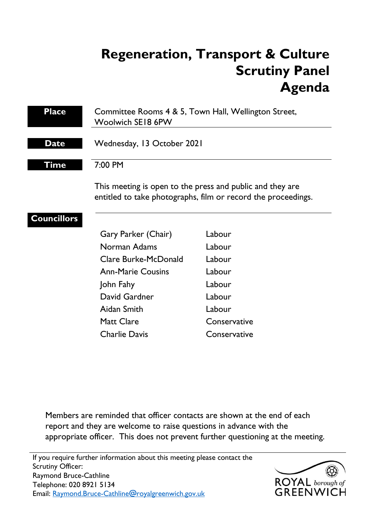# **Regeneration, Transport & Culture Scrutiny Panel Agenda**

| <b>Place</b>       | Committee Rooms 4 & 5, Town Hall, Wellington Street,<br><b>Woolwich SE18 6PW</b>                                           |              |
|--------------------|----------------------------------------------------------------------------------------------------------------------------|--------------|
| <b>Date</b>        | Wednesday, 13 October 2021                                                                                                 |              |
| Time               | 7:00 PM                                                                                                                    |              |
|                    | This meeting is open to the press and public and they are<br>entitled to take photographs, film or record the proceedings. |              |
| <b>Councillors</b> |                                                                                                                            |              |
|                    | Gary Parker (Chair)                                                                                                        | Labour       |
|                    | Norman Adams                                                                                                               | Labour       |
|                    | Clare Burke-McDonald                                                                                                       | Labour       |
|                    | <b>Ann-Marie Cousins</b>                                                                                                   | Labour       |
|                    | John Fahy                                                                                                                  | Labour       |
|                    | David Gardner                                                                                                              | Labour       |
|                    | Aidan Smith                                                                                                                | Labour       |
|                    | <b>Matt Clare</b>                                                                                                          | Conservative |
|                    | <b>Charlie Davis</b>                                                                                                       | Conservative |
|                    |                                                                                                                            |              |
|                    |                                                                                                                            |              |

Members are reminded that officer contacts are shown at the end of each report and they are welcome to raise questions in advance with the appropriate officer. This does not prevent further questioning at the meeting.

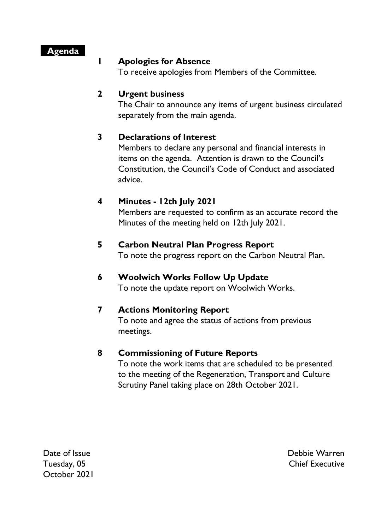#### **Agenda**

#### **1 Apologies for Absence**

To receive apologies from Members of the Committee.

# **2 Urgent business**

The Chair to announce any items of urgent business circulated separately from the main agenda.

# **3 Declarations of Interest**

Members to declare any personal and financial interests in items on the agenda. Attention is drawn to the Council's Constitution, the Council's Code of Conduct and associated advice.

# **4 Minutes - 12th July 2021**

Members are requested to confirm as an accurate record the Minutes of the meeting held on 12th July 2021.

#### **5 Carbon Neutral Plan Progress Report**

To note the progress report on the Carbon Neutral Plan.

# **6 Woolwich Works Follow Up Update**

To note the update report on Woolwich Works.

# **7 Actions Monitoring Report**

To note and agree the status of actions from previous meetings.

# **8 Commissioning of Future Reports**

To note the work items that are scheduled to be presented to the meeting of the Regeneration, Transport and Culture Scrutiny Panel taking place on 28th October 2021.

Date of Issue Tuesday, 05 October 2021 Debbie Warren Chief Executive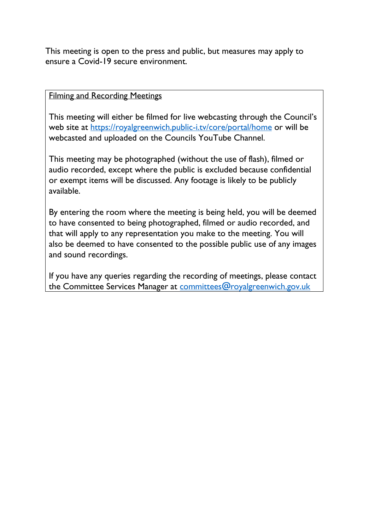This meeting is open to the press and public, but measures may apply to ensure a Covid-19 secure environment.

#### Filming and Recording Meetings

This meeting will either be filmed for live webcasting through the Council's web site at<https://royalgreenwich.public-i.tv/core/portal/home>or will be webcasted and uploaded on the Councils YouTube Channel.

This meeting may be photographed (without the use of flash), filmed or audio recorded, except where the public is excluded because confidential or exempt items will be discussed. Any footage is likely to be publicly available.

By entering the room where the meeting is being held, you will be deemed to have consented to being photographed, filmed or audio recorded, and that will apply to any representation you make to the meeting. You will also be deemed to have consented to the possible public use of any images and sound recordings.

If you have any queries regarding the recording of meetings, please contact the Committee Services Manager at [committees@royalgreenwich.gov.uk](mailto:committees@royalgreenwich.gov.uk)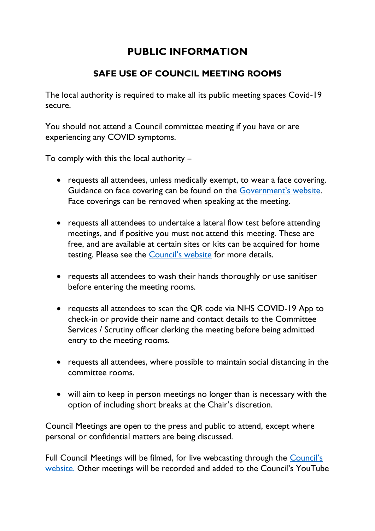# **PUBLIC INFORMATION**

# **SAFE USE OF COUNCIL MEETING ROOMS**

The local authority is required to make all its public meeting spaces Covid-19 secure.

You should not attend a Council committee meeting if you have or are experiencing any COVID symptoms.

To comply with this the local authority –

- requests all attendees, unless medically exempt, to wear a face covering. Guidance on face covering can be found on the [Government's website](https://www.gov.uk/government/publications/face-coverings-when-to-wear-one-and-how-to-make-your-own/face-coverings-when-to-wear-one-and-how-to-make-your-own#when-you-do-not-need-to-wear-a-face-covering). Face coverings can be removed when speaking at the meeting.
- requests all attendees to undertake a lateral flow test before attending meetings, and if positive you must not attend this meeting. These are free, and are available at certain sites or kits can be acquired for home testing. Please see the **[Council's website](https://www.royalgreenwich.gov.uk/info/200329/coronavirus/2287/covid-19_tests_for_people_without_symptoms)** for more details.
- requests all attendees to wash their hands thoroughly or use sanitiser before entering the meeting rooms.
- requests all attendees to scan the QR code via NHS COVID-19 App to check-in or provide their name and contact details to the Committee Services / Scrutiny officer clerking the meeting before being admitted entry to the meeting rooms.
- requests all attendees, where possible to maintain social distancing in the committee rooms.
- will aim to keep in person meetings no longer than is necessary with the option of including short breaks at the Chair's discretion.

Council Meetings are open to the press and public to attend, except where personal or confidential matters are being discussed.

Full Council Meetings will be filmed, for live webcasting through the [Council's](https://royalgreenwich.public-i.tv/core/portal/home)  [website.](https://royalgreenwich.public-i.tv/core/portal/home) Other meetings will be recorded and added to the Council's YouTube